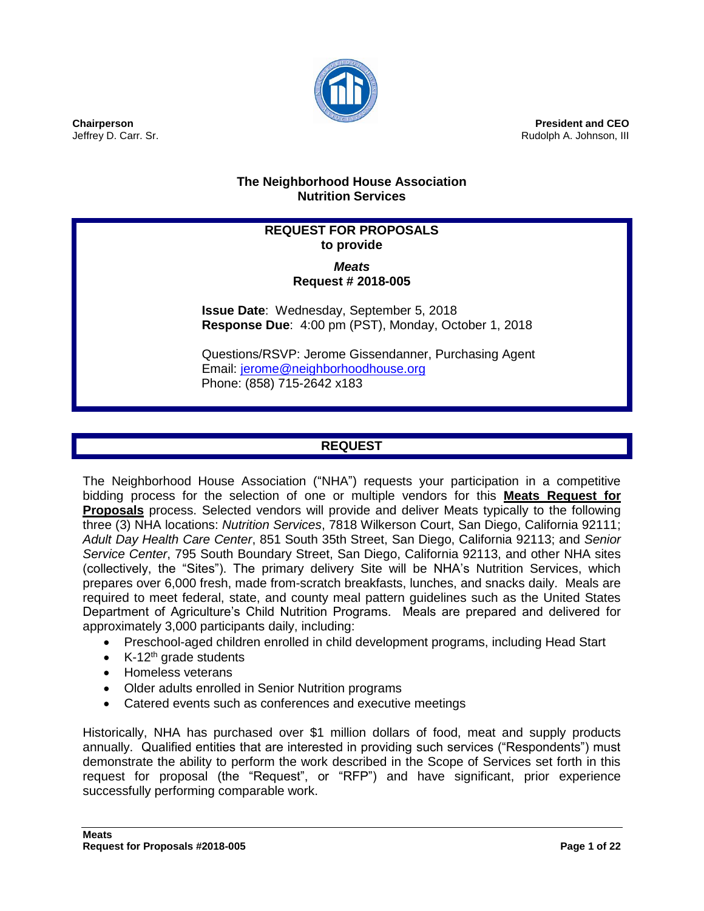

**President and CEO** Rudolph A. Johnson, III

## **The Neighborhood House Association Nutrition Services**

# **REQUEST FOR PROPOSALS to provide**

#### *Meats* **Request # 2018-005**

**Issue Date**: Wednesday, September 5, 2018 **Response Due**: 4:00 pm (PST), Monday, October 1, 2018

Questions/RSVP: Jerome Gissendanner, Purchasing Agent Email: [jerome@neighborhoodhouse.org](mailto:jerome@neighborhoodhouse.org) Phone: (858) 715-2642 x183

# **REQUEST**

The Neighborhood House Association ("NHA") requests your participation in a competitive bidding process for the selection of one or multiple vendors for this **Meats Request for Proposals** process. Selected vendors will provide and deliver Meats typically to the following three (3) NHA locations: *Nutrition Services*, 7818 Wilkerson Court, San Diego, California 92111; *Adult Day Health Care Center*, 851 South 35th Street, San Diego, California 92113; and *Senior Service Center*, 795 South Boundary Street, San Diego, California 92113, and other NHA sites (collectively, the "Sites"). The primary delivery Site will be NHA's Nutrition Services, which prepares over 6,000 fresh, made from-scratch breakfasts, lunches, and snacks daily. Meals are required to meet federal, state, and county meal pattern guidelines such as the United States Department of Agriculture's Child Nutrition Programs. Meals are prepared and delivered for approximately 3,000 participants daily, including:

- Preschool-aged children enrolled in child development programs, including Head Start
- $\bullet$  K-12<sup>th</sup> grade students
- Homeless veterans
- Older adults enrolled in Senior Nutrition programs
- Catered events such as conferences and executive meetings

Historically, NHA has purchased over \$1 million dollars of food, meat and supply products annually. Qualified entities that are interested in providing such services ("Respondents") must demonstrate the ability to perform the work described in the Scope of Services set forth in this request for proposal (the "Request", or "RFP") and have significant, prior experience successfully performing comparable work.

**Chairperson** Jeffrey D. Carr. Sr.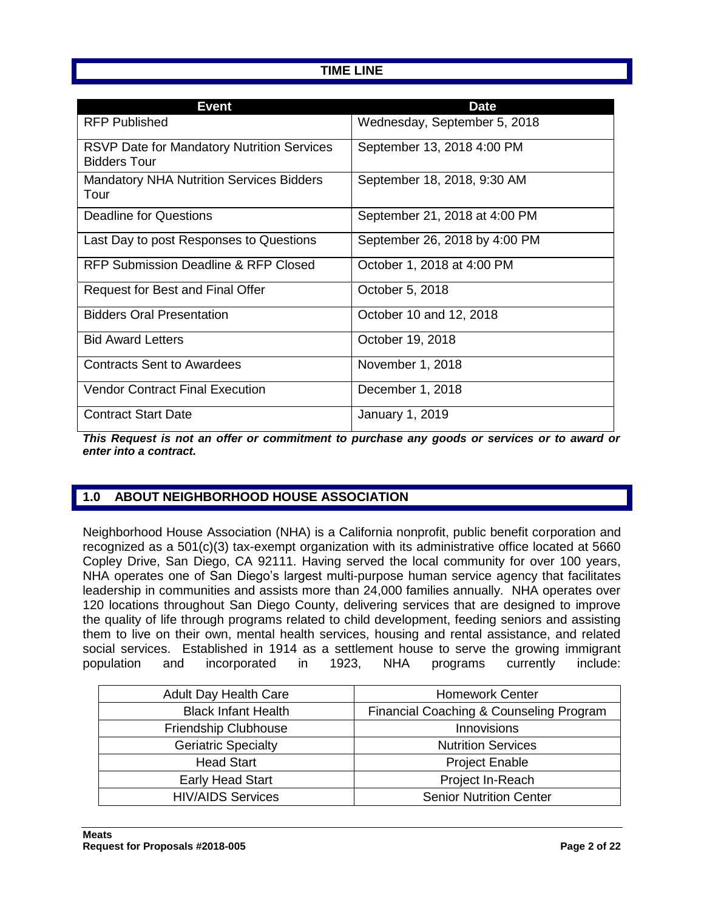## **TIME LINE**

| Event                                                                    | <b>Date</b>                   |
|--------------------------------------------------------------------------|-------------------------------|
| <b>RFP Published</b>                                                     | Wednesday, September 5, 2018  |
| <b>RSVP Date for Mandatory Nutrition Services</b><br><b>Bidders Tour</b> | September 13, 2018 4:00 PM    |
| <b>Mandatory NHA Nutrition Services Bidders</b><br>Tour                  | September 18, 2018, 9:30 AM   |
| Deadline for Questions                                                   | September 21, 2018 at 4:00 PM |
| Last Day to post Responses to Questions                                  | September 26, 2018 by 4:00 PM |
| RFP Submission Deadline & RFP Closed                                     | October 1, 2018 at 4:00 PM    |
| Request for Best and Final Offer                                         | October 5, 2018               |
| <b>Bidders Oral Presentation</b>                                         | October 10 and 12, 2018       |
| <b>Bid Award Letters</b>                                                 | October 19, 2018              |
| <b>Contracts Sent to Awardees</b>                                        | November 1, 2018              |
| <b>Vendor Contract Final Execution</b>                                   | December 1, 2018              |
| <b>Contract Start Date</b>                                               | January 1, 2019               |

*This Request is not an offer or commitment to purchase any goods or services or to award or enter into a contract.*

# **1.0 ABOUT NEIGHBORHOOD HOUSE ASSOCIATION**

Neighborhood House Association (NHA) is a California nonprofit, public benefit corporation and recognized as a 501(c)(3) tax-exempt organization with its administrative office located at 5660 Copley Drive, San Diego, CA 92111. Having served the local community for over 100 years, NHA operates one of San Diego's largest multi-purpose human service agency that facilitates leadership in communities and assists more than 24,000 families annually. NHA operates over 120 locations throughout San Diego County, delivering services that are designed to improve the quality of life through programs related to child development, feeding seniors and assisting them to live on their own, mental health services, housing and rental assistance, and related social services. Established in 1914 as a settlement house to serve the growing immigrant population and incorporated in 1923, NHA programs currently include:

| <b>Adult Day Health Care</b> | <b>Homework Center</b>                  |
|------------------------------|-----------------------------------------|
| <b>Black Infant Health</b>   | Financial Coaching & Counseling Program |
| Friendship Clubhouse         | Innovisions                             |
| <b>Geriatric Specialty</b>   | <b>Nutrition Services</b>               |
| <b>Head Start</b>            | <b>Project Enable</b>                   |
| <b>Early Head Start</b>      | Project In-Reach                        |
| <b>HIV/AIDS Services</b>     | <b>Senior Nutrition Center</b>          |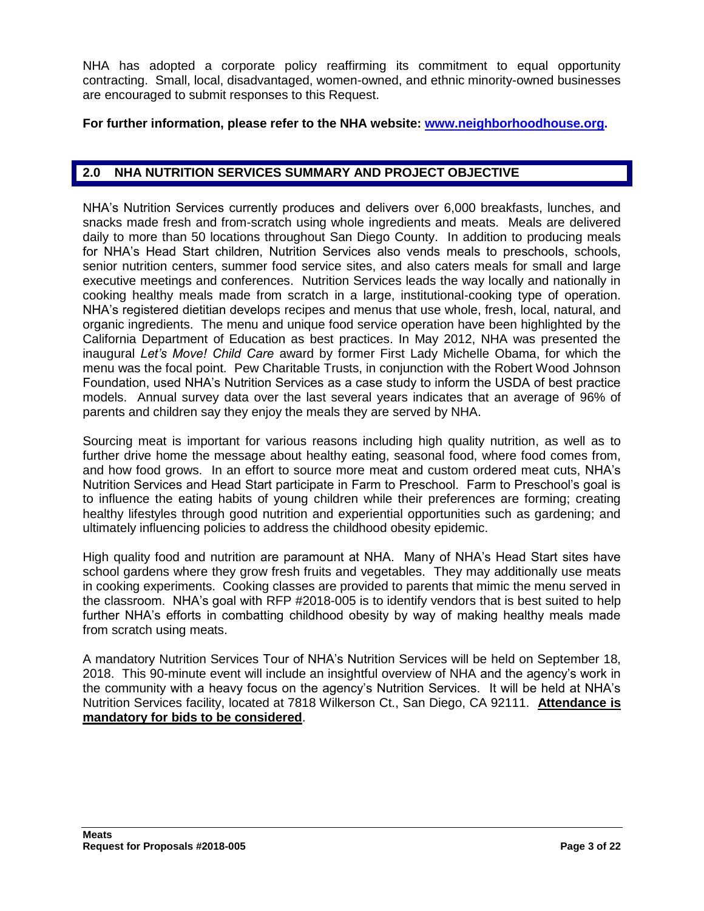NHA has adopted a corporate policy reaffirming its commitment to equal opportunity contracting. Small, local, disadvantaged, women-owned, and ethnic minority-owned businesses are encouraged to submit responses to this Request.

#### **For further information, please refer to the NHA website: [www.neighborhoodhouse.org.](http://www.neighborhoodhouse.org/)**

#### **2.0 NHA NUTRITION SERVICES SUMMARY AND PROJECT OBJECTIVE**

NHA's Nutrition Services currently produces and delivers over 6,000 breakfasts, lunches, and snacks made fresh and from-scratch using whole ingredients and meats. Meals are delivered daily to more than 50 locations throughout San Diego County. In addition to producing meals for NHA's Head Start children, Nutrition Services also vends meals to preschools, schools, senior nutrition centers, summer food service sites, and also caters meals for small and large executive meetings and conferences. Nutrition Services leads the way locally and nationally in cooking healthy meals made from scratch in a large, institutional-cooking type of operation. NHA's registered dietitian develops recipes and menus that use whole, fresh, local, natural, and organic ingredients. The menu and unique food service operation have been highlighted by the California Department of Education as best practices. In May 2012, NHA was presented the inaugural *Let's Move! Child Care* award by former First Lady Michelle Obama, for which the menu was the focal point. Pew Charitable Trusts, in conjunction with the Robert Wood Johnson Foundation, used NHA's Nutrition Services as a case study to inform the USDA of best practice models. Annual survey data over the last several years indicates that an average of 96% of parents and children say they enjoy the meals they are served by NHA.

Sourcing meat is important for various reasons including high quality nutrition, as well as to further drive home the message about healthy eating, seasonal food, where food comes from, and how food grows. In an effort to source more meat and custom ordered meat cuts, NHA's Nutrition Services and Head Start participate in Farm to Preschool. Farm to Preschool's goal is to influence the eating habits of young children while their preferences are forming; creating healthy lifestyles through good nutrition and experiential opportunities such as gardening; and ultimately influencing policies to address the childhood obesity epidemic.

High quality food and nutrition are paramount at NHA. Many of NHA's Head Start sites have school gardens where they grow fresh fruits and vegetables. They may additionally use meats in cooking experiments. Cooking classes are provided to parents that mimic the menu served in the classroom. NHA's goal with RFP #2018-005 is to identify vendors that is best suited to help further NHA's efforts in combatting childhood obesity by way of making healthy meals made from scratch using meats.

A mandatory Nutrition Services Tour of NHA's Nutrition Services will be held on September 18, 2018. This 90-minute event will include an insightful overview of NHA and the agency's work in the community with a heavy focus on the agency's Nutrition Services. It will be held at NHA's Nutrition Services facility, located at 7818 Wilkerson Ct., San Diego, CA 92111. **Attendance is mandatory for bids to be considered**.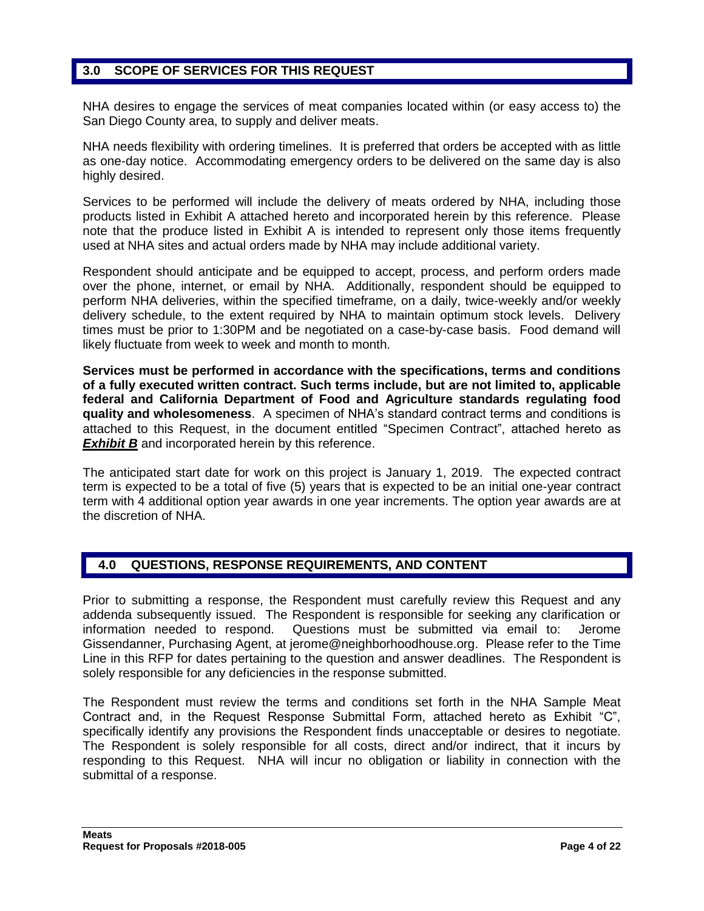# **3.0 SCOPE OF SERVICES FOR THIS REQUEST**

NHA desires to engage the services of meat companies located within (or easy access to) the San Diego County area, to supply and deliver meats.

NHA needs flexibility with ordering timelines. It is preferred that orders be accepted with as little as one-day notice. Accommodating emergency orders to be delivered on the same day is also highly desired.

Services to be performed will include the delivery of meats ordered by NHA, including those products listed in Exhibit A attached hereto and incorporated herein by this reference. Please note that the produce listed in Exhibit A is intended to represent only those items frequently used at NHA sites and actual orders made by NHA may include additional variety.

Respondent should anticipate and be equipped to accept, process, and perform orders made over the phone, internet, or email by NHA. Additionally, respondent should be equipped to perform NHA deliveries, within the specified timeframe, on a daily, twice-weekly and/or weekly delivery schedule, to the extent required by NHA to maintain optimum stock levels. Delivery times must be prior to 1:30PM and be negotiated on a case-by-case basis. Food demand will likely fluctuate from week to week and month to month.

**Services must be performed in accordance with the specifications, terms and conditions of a fully executed written contract. Such terms include, but are not limited to, applicable federal and California Department of Food and Agriculture standards regulating food quality and wholesomeness**. A specimen of NHA's standard contract terms and conditions is attached to this Request, in the document entitled "Specimen Contract", attached hereto as **Exhibit B** and incorporated herein by this reference.

The anticipated start date for work on this project is January 1, 2019. The expected contract term is expected to be a total of five (5) years that is expected to be an initial one-year contract term with 4 additional option year awards in one year increments. The option year awards are at the discretion of NHA.

#### **4.0 QUESTIONS, RESPONSE REQUIREMENTS, AND CONTENT**

Prior to submitting a response, the Respondent must carefully review this Request and any addenda subsequently issued. The Respondent is responsible for seeking any clarification or information needed to respond. Questions must be submitted via email to: Jerome Gissendanner, Purchasing Agent, at [jerome@neighborhoodhouse.org.](mailto:jerome@neighborhoodhouse.org) Please refer to the Time Line in this RFP for dates pertaining to the question and answer deadlines. The Respondent is solely responsible for any deficiencies in the response submitted.

The Respondent must review the terms and conditions set forth in the NHA Sample Meat Contract and, in the Request Response Submittal Form, attached hereto as Exhibit "C", specifically identify any provisions the Respondent finds unacceptable or desires to negotiate. The Respondent is solely responsible for all costs, direct and/or indirect, that it incurs by responding to this Request. NHA will incur no obligation or liability in connection with the submittal of a response.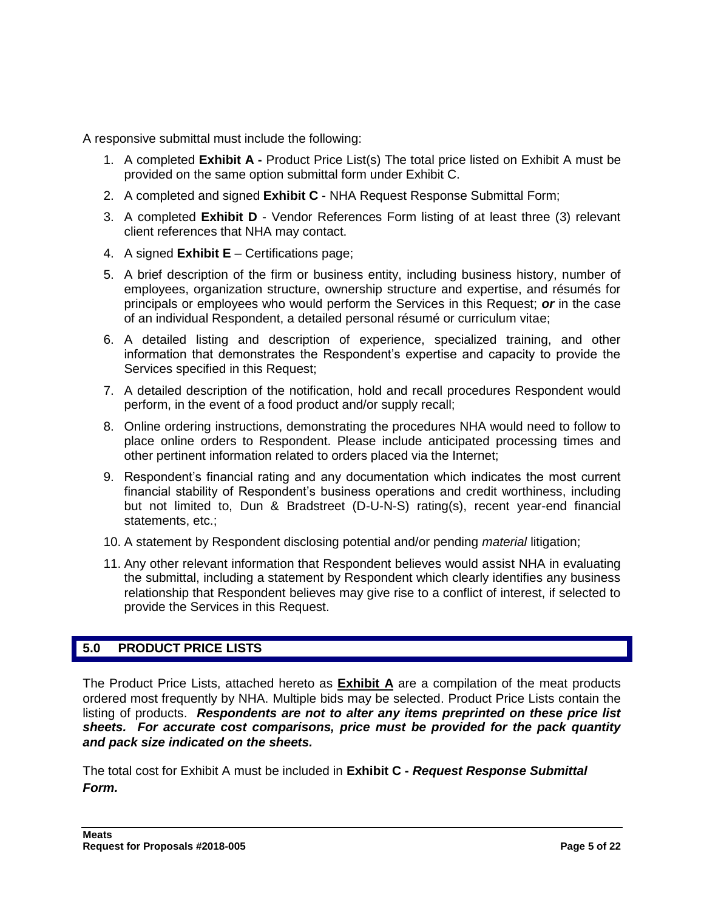A responsive submittal must include the following:

- 1. A completed **Exhibit A -** Product Price List(s) The total price listed on Exhibit A must be provided on the same option submittal form under Exhibit C.
- 2. A completed and signed **Exhibit C** NHA Request Response Submittal Form;
- 3. A completed **Exhibit D** Vendor References Form listing of at least three (3) relevant client references that NHA may contact.
- 4. A signed **Exhibit E** Certifications page;
- 5. A brief description of the firm or business entity, including business history, number of employees, organization structure, ownership structure and expertise, and résumés for principals or employees who would perform the Services in this Request; *or* in the case of an individual Respondent, a detailed personal résumé or curriculum vitae;
- 6. A detailed listing and description of experience, specialized training, and other information that demonstrates the Respondent's expertise and capacity to provide the Services specified in this Request;
- 7. A detailed description of the notification, hold and recall procedures Respondent would perform, in the event of a food product and/or supply recall;
- 8. Online ordering instructions, demonstrating the procedures NHA would need to follow to place online orders to Respondent. Please include anticipated processing times and other pertinent information related to orders placed via the Internet;
- 9. Respondent's financial rating and any documentation which indicates the most current financial stability of Respondent's business operations and credit worthiness, including but not limited to, Dun & Bradstreet (D-U-N-S) rating(s), recent year-end financial statements, etc.;
- 10. A statement by Respondent disclosing potential and/or pending *material* litigation;
- 11. Any other relevant information that Respondent believes would assist NHA in evaluating the submittal, including a statement by Respondent which clearly identifies any business relationship that Respondent believes may give rise to a conflict of interest, if selected to provide the Services in this Request.

# **5.0 PRODUCT PRICE LISTS**

The Product Price Lists, attached hereto as **Exhibit A** are a compilation of the meat products ordered most frequently by NHA. Multiple bids may be selected. Product Price Lists contain the listing of products. *Respondents are not to alter any items preprinted on these price list sheets. For accurate cost comparisons, price must be provided for the pack quantity and pack size indicated on the sheets.*

The total cost for Exhibit A must be included in **Exhibit C -** *Request Response Submittal Form.*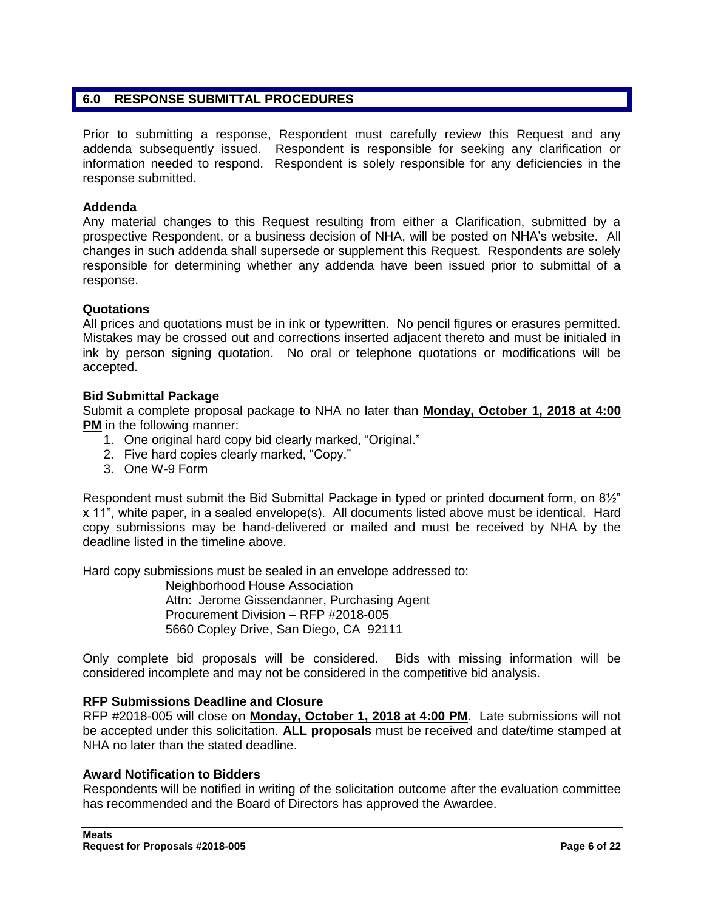## **6.0 RESPONSE SUBMITTAL PROCEDURES**

Prior to submitting a response, Respondent must carefully review this Request and any addenda subsequently issued. Respondent is responsible for seeking any clarification or information needed to respond. Respondent is solely responsible for any deficiencies in the response submitted.

#### **Addenda**

Any material changes to this Request resulting from either a Clarification, submitted by a prospective Respondent, or a business decision of NHA, will be posted on NHA's website. All changes in such addenda shall supersede or supplement this Request. Respondents are solely responsible for determining whether any addenda have been issued prior to submittal of a response.

#### **Quotations**

All prices and quotations must be in ink or typewritten. No pencil figures or erasures permitted. Mistakes may be crossed out and corrections inserted adjacent thereto and must be initialed in ink by person signing quotation. No oral or telephone quotations or modifications will be accepted.

#### **Bid Submittal Package**

Submit a complete proposal package to NHA no later than **Monday, October 1, 2018 at 4:00 PM** in the following manner:

- 1. One original hard copy bid clearly marked, "Original."
- 2. Five hard copies clearly marked, "Copy."
- 3. One W-9 Form

Respondent must submit the Bid Submittal Package in typed or printed document form, on 8½" x 11", white paper, in a sealed envelope(s). All documents listed above must be identical. Hard copy submissions may be hand-delivered or mailed and must be received by NHA by the deadline listed in the timeline above.

Hard copy submissions must be sealed in an envelope addressed to:

Neighborhood House Association Attn: Jerome Gissendanner, Purchasing Agent Procurement Division – RFP #2018-005 5660 Copley Drive, San Diego, CA 92111

Only complete bid proposals will be considered. Bids with missing information will be considered incomplete and may not be considered in the competitive bid analysis.

#### **RFP Submissions Deadline and Closure**

RFP #2018-005 will close on **Monday, October 1, 2018 at 4:00 PM**. Late submissions will not be accepted under this solicitation. **ALL proposals** must be received and date/time stamped at NHA no later than the stated deadline.

#### **Award Notification to Bidders**

Respondents will be notified in writing of the solicitation outcome after the evaluation committee has recommended and the Board of Directors has approved the Awardee.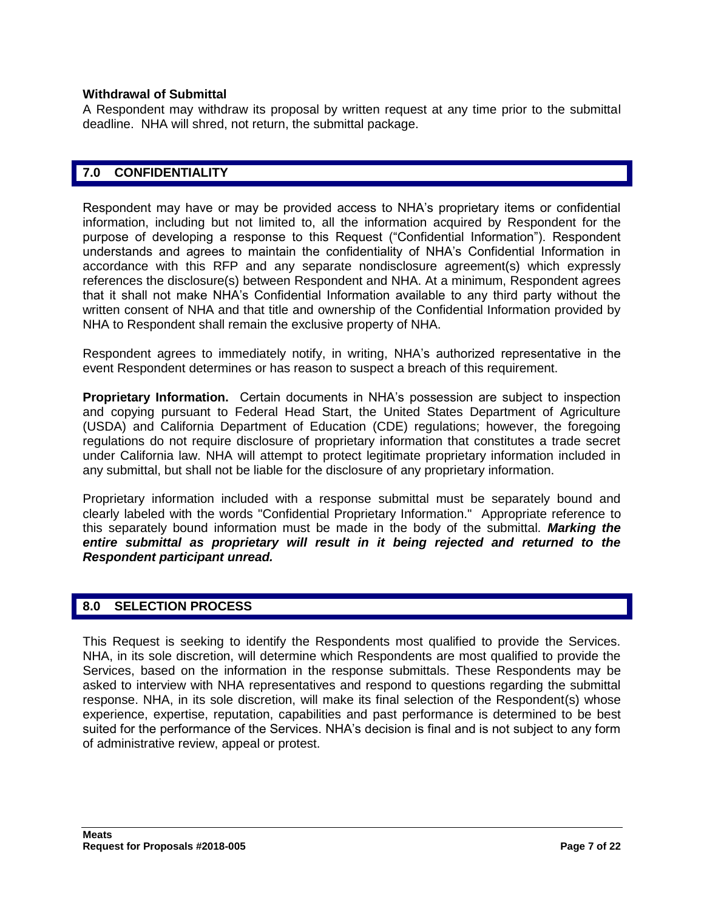#### **Withdrawal of Submittal**

A Respondent may withdraw its proposal by written request at any time prior to the submittal deadline. NHA will shred, not return, the submittal package.

#### **7.0 CONFIDENTIALITY**

Respondent may have or may be provided access to NHA's proprietary items or confidential information, including but not limited to, all the information acquired by Respondent for the purpose of developing a response to this Request ("Confidential Information"). Respondent understands and agrees to maintain the confidentiality of NHA's Confidential Information in accordance with this RFP and any separate nondisclosure agreement(s) which expressly references the disclosure(s) between Respondent and NHA. At a minimum, Respondent agrees that it shall not make NHA's Confidential Information available to any third party without the written consent of NHA and that title and ownership of the Confidential Information provided by NHA to Respondent shall remain the exclusive property of NHA.

Respondent agrees to immediately notify, in writing, NHA's authorized representative in the event Respondent determines or has reason to suspect a breach of this requirement.

**Proprietary Information.** Certain documents in NHA's possession are subject to inspection and copying pursuant to Federal Head Start, the United States Department of Agriculture (USDA) and California Department of Education (CDE) regulations; however, the foregoing regulations do not require disclosure of proprietary information that constitutes a trade secret under California law. NHA will attempt to protect legitimate proprietary information included in any submittal, but shall not be liable for the disclosure of any proprietary information.

Proprietary information included with a response submittal must be separately bound and clearly labeled with the words "Confidential Proprietary Information." Appropriate reference to this separately bound information must be made in the body of the submittal. *Marking the*  entire submittal as proprietary will result in it being rejected and returned to the *Respondent participant unread.*

#### **8.0 SELECTION PROCESS**

This Request is seeking to identify the Respondents most qualified to provide the Services. NHA, in its sole discretion, will determine which Respondents are most qualified to provide the Services, based on the information in the response submittals. These Respondents may be asked to interview with NHA representatives and respond to questions regarding the submittal response. NHA, in its sole discretion, will make its final selection of the Respondent(s) whose experience, expertise, reputation, capabilities and past performance is determined to be best suited for the performance of the Services. NHA's decision is final and is not subject to any form of administrative review, appeal or protest.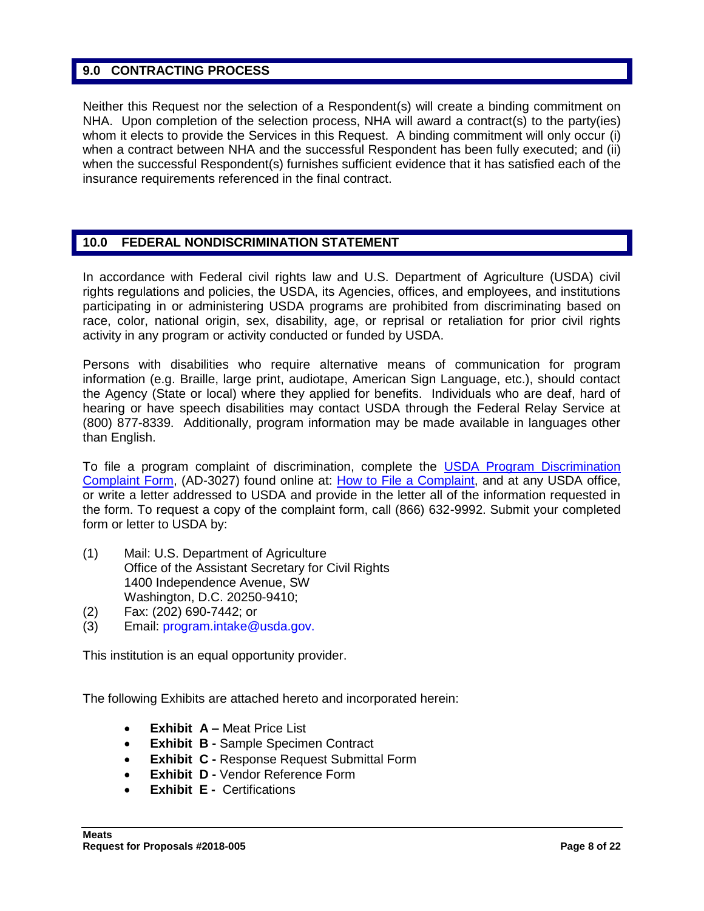#### **9.0 CONTRACTING PROCESS**

Neither this Request nor the selection of a Respondent(s) will create a binding commitment on NHA. Upon completion of the selection process, NHA will award a contract(s) to the party(ies) whom it elects to provide the Services in this Request. A binding commitment will only occur (i) when a contract between NHA and the successful Respondent has been fully executed; and (ii) when the successful Respondent(s) furnishes sufficient evidence that it has satisfied each of the insurance requirements referenced in the final contract.

# **10.0 FEDERAL NONDISCRIMINATION STATEMENT**

In accordance with Federal civil rights law and U.S. Department of Agriculture (USDA) civil rights regulations and policies, the USDA, its Agencies, offices, and employees, and institutions participating in or administering USDA programs are prohibited from discriminating based on race, color, national origin, sex, disability, age, or reprisal or retaliation for prior civil rights activity in any program or activity conducted or funded by USDA.

Persons with disabilities who require alternative means of communication for program information (e.g. Braille, large print, audiotape, American Sign Language, etc.), should contact the Agency (State or local) where they applied for benefits. Individuals who are deaf, hard of hearing or have speech disabilities may contact USDA through the Federal Relay Service at (800) 877-8339. Additionally, program information may be made available in languages other than English.

To file a program complaint of discrimination, complete the [USDA Program Discrimination](http://www.ocio.usda.gov/sites/default/files/docs/2012/Complain_combined_6_8_12.pdf)  [Complaint Form,](http://www.ocio.usda.gov/sites/default/files/docs/2012/Complain_combined_6_8_12.pdf) (AD-3027) found online at: [How to File a Complaint,](http://www.ascr.usda.gov/complaint_filing_cust.html) and at any USDA office, or write a letter addressed to USDA and provide in the letter all of the information requested in the form. To request a copy of the complaint form, call (866) 632-9992. Submit your completed form or letter to USDA by:

- (1) Mail: U.S. Department of Agriculture Office of the Assistant Secretary for Civil Rights 1400 Independence Avenue, SW Washington, D.C. 20250-9410;
- (2) Fax: (202) 690-7442; or
- (3) Email: program.intake@usda.gov.

This institution is an equal opportunity provider.

The following Exhibits are attached hereto and incorporated herein:

- **Exhibit A –** Meat Price List
- **Exhibit B -** Sample Specimen Contract
- **Exhibit C -** Response Request Submittal Form
- **Exhibit D Vendor Reference Form**
- **Exhibit E -** Certifications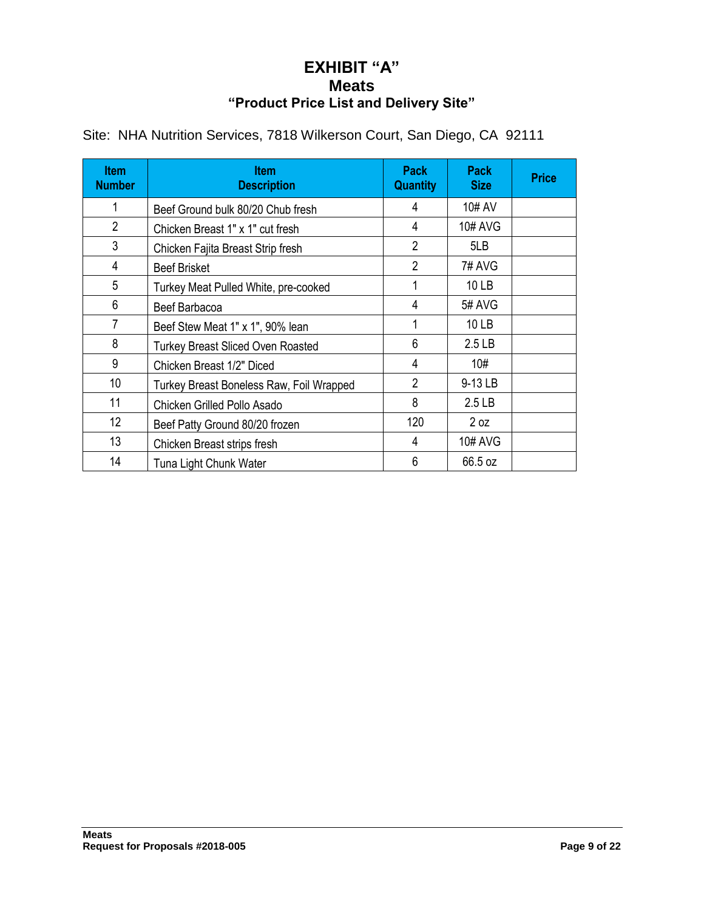# **EXHIBIT "A" Meats "Product Price List and Delivery Site"**

| <b>Item</b><br><b>Number</b> | <b>Item</b><br><b>Description</b>        | <b>Pack</b><br><b>Quantity</b> | <b>Pack</b><br><b>Size</b> | <b>Price</b> |
|------------------------------|------------------------------------------|--------------------------------|----------------------------|--------------|
|                              | Beef Ground bulk 80/20 Chub fresh        | 4                              | 10# AV                     |              |
| $\overline{2}$               | Chicken Breast 1" x 1" cut fresh         | 4                              | <b>10# AVG</b>             |              |
| 3                            | Chicken Fajita Breast Strip fresh        | 2                              | 5LB                        |              |
| 4                            | <b>Beef Brisket</b>                      | $\overline{2}$                 | 7# AVG                     |              |
| 5                            | Turkey Meat Pulled White, pre-cooked     | 1                              | 10 LB                      |              |
| 6                            | Beef Barbacoa                            | 4                              | 5# AVG                     |              |
| 7                            | Beef Stew Meat 1" x 1", 90% lean         |                                | 10 LB                      |              |
| 8                            | <b>Turkey Breast Sliced Oven Roasted</b> | 6                              | 2.5 <sub>LB</sub>          |              |
| 9                            | Chicken Breast 1/2" Diced                | 4                              | 10#                        |              |
| 10                           | Turkey Breast Boneless Raw, Foil Wrapped | $\overline{2}$                 | 9-13 LB                    |              |
| 11                           | Chicken Grilled Pollo Asado              | 8                              | 2.5 <sub>LB</sub>          |              |
| 12                           | Beef Patty Ground 80/20 frozen           | 120                            | 2 oz                       |              |
| 13                           | Chicken Breast strips fresh              | 4                              | <b>10# AVG</b>             |              |
| 14                           | Tuna Light Chunk Water                   | 6                              | 66.5 oz                    |              |

Site: NHA Nutrition Services, 7818 Wilkerson Court, San Diego, CA 92111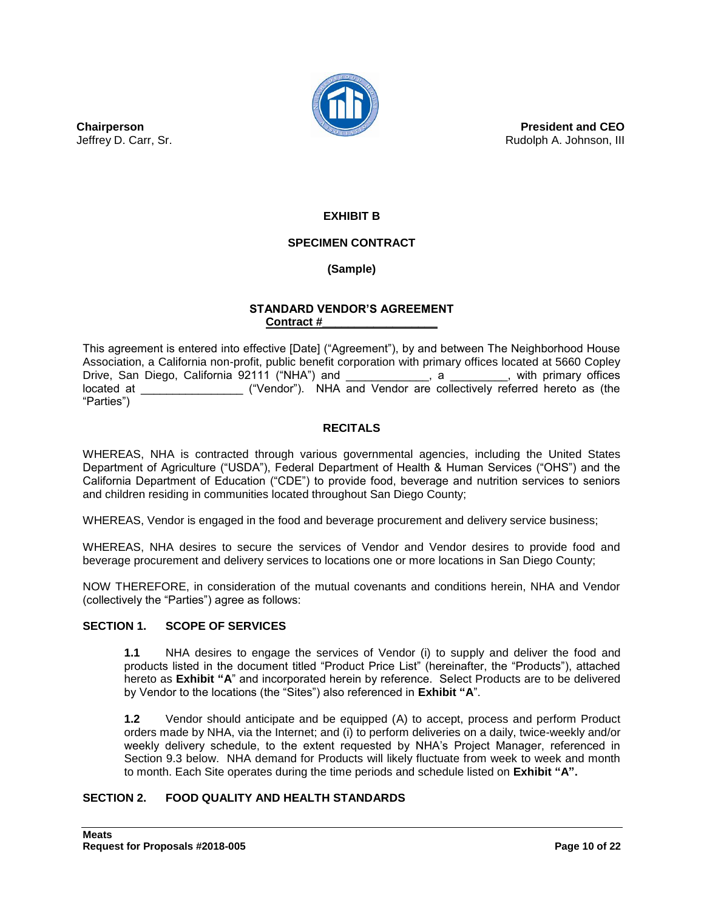

**President and CEO** Rudolph A. Johnson, III

**Chairperson** Jeffrey D. Carr, Sr.

# **EXHIBIT B**

#### **SPECIMEN CONTRACT**

#### **(Sample)**

#### **STANDARD VENDOR'S AGREEMENT Contract #\_\_\_\_\_\_\_\_\_\_\_\_\_\_\_\_\_\_**

This agreement is entered into effective [Date] ("Agreement"), by and between The Neighborhood House Association, a California non-profit, public benefit corporation with primary offices located at 5660 Copley Drive, San Diego, California 92111 ("NHA") and  $\qquad \qquad$ , a  $\qquad \qquad$ , with primary offices located at \_\_\_\_\_\_\_\_\_\_\_\_\_\_\_\_ ("Vendor"). NHA and Vendor are collectively referred hereto as (the "Parties")

#### **RECITALS**

WHEREAS, NHA is contracted through various governmental agencies, including the United States Department of Agriculture ("USDA"), Federal Department of Health & Human Services ("OHS") and the California Department of Education ("CDE") to provide food, beverage and nutrition services to seniors and children residing in communities located throughout San Diego County;

WHEREAS, Vendor is engaged in the food and beverage procurement and delivery service business;

WHEREAS, NHA desires to secure the services of Vendor and Vendor desires to provide food and beverage procurement and delivery services to locations one or more locations in San Diego County;

NOW THEREFORE, in consideration of the mutual covenants and conditions herein, NHA and Vendor (collectively the "Parties") agree as follows:

#### **SECTION 1. SCOPE OF SERVICES**

**1.1** NHA desires to engage the services of Vendor (i) to supply and deliver the food and products listed in the document titled "Product Price List" (hereinafter, the "Products"), attached hereto as **Exhibit "A**" and incorporated herein by reference. Select Products are to be delivered by Vendor to the locations (the "Sites") also referenced in **Exhibit "A**".

**1.2** Vendor should anticipate and be equipped (A) to accept, process and perform Product orders made by NHA, via the Internet; and (i) to perform deliveries on a daily, twice-weekly and/or weekly delivery schedule, to the extent requested by NHA's Project Manager, referenced in Section 9.3 below. NHA demand for Products will likely fluctuate from week to week and month to month. Each Site operates during the time periods and schedule listed on **Exhibit "A".**

#### **SECTION 2. FOOD QUALITY AND HEALTH STANDARDS**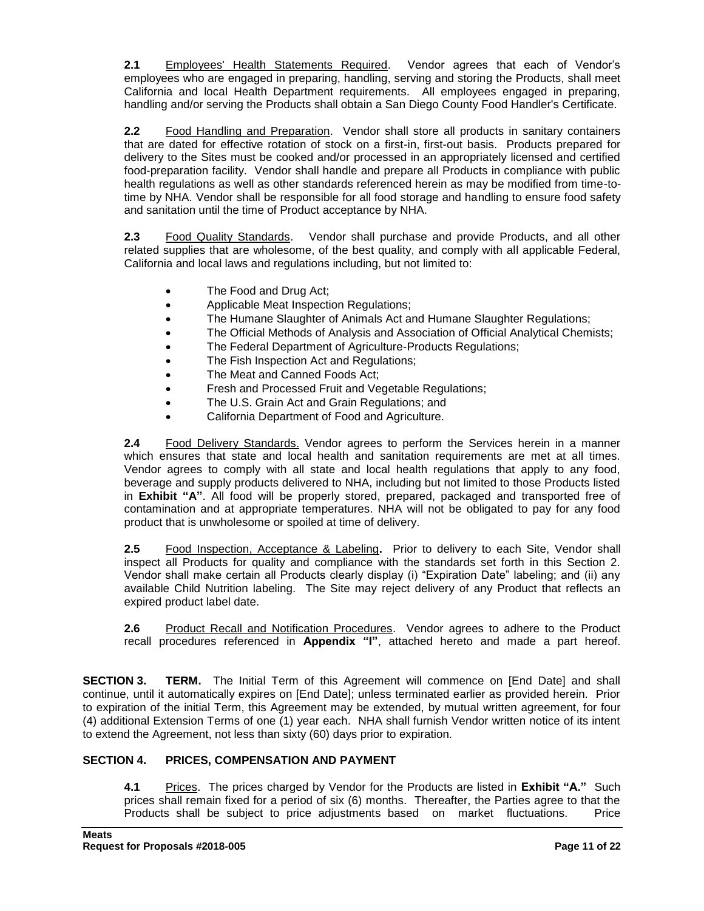**2.1** Employees' Health Statements Required. Vendor agrees that each of Vendor's employees who are engaged in preparing, handling, serving and storing the Products, shall meet California and local Health Department requirements. All employees engaged in preparing, handling and/or serving the Products shall obtain a San Diego County Food Handler's Certificate.

**2.2** Food Handling and Preparation. Vendor shall store all products in sanitary containers that are dated for effective rotation of stock on a first-in, first-out basis. Products prepared for delivery to the Sites must be cooked and/or processed in an appropriately licensed and certified food-preparation facility. Vendor shall handle and prepare all Products in compliance with public health regulations as well as other standards referenced herein as may be modified from time-totime by NHA. Vendor shall be responsible for all food storage and handling to ensure food safety and sanitation until the time of Product acceptance by NHA.

**2.3** Food Quality Standards. Vendor shall purchase and provide Products, and all other related supplies that are wholesome, of the best quality, and comply with all applicable Federal, California and local laws and regulations including, but not limited to:

- The Food and Drug Act;
- Applicable Meat Inspection Regulations;
- The Humane Slaughter of Animals Act and Humane Slaughter Regulations;
- The Official Methods of Analysis and Association of Official Analytical Chemists;
- The Federal Department of Agriculture-Products Regulations;
- The Fish Inspection Act and Regulations;
- The Meat and Canned Foods Act;
- Fresh and Processed Fruit and Vegetable Regulations;
- The U.S. Grain Act and Grain Regulations; and
- California Department of Food and Agriculture.

**2.4** Food Delivery Standards. Vendor agrees to perform the Services herein in a manner which ensures that state and local health and sanitation requirements are met at all times. Vendor agrees to comply with all state and local health regulations that apply to any food, beverage and supply products delivered to NHA, including but not limited to those Products listed in **Exhibit "A"**. All food will be properly stored, prepared, packaged and transported free of contamination and at appropriate temperatures. NHA will not be obligated to pay for any food product that is unwholesome or spoiled at time of delivery.

**2.5** Food Inspection, Acceptance & Labeling**.** Prior to delivery to each Site, Vendor shall inspect all Products for quality and compliance with the standards set forth in this Section 2. Vendor shall make certain all Products clearly display (i) "Expiration Date" labeling; and (ii) any available Child Nutrition labeling. The Site may reject delivery of any Product that reflects an expired product label date.

**2.6** Product Recall and Notification Procedures. Vendor agrees to adhere to the Product recall procedures referenced in **Appendix "I"**, attached hereto and made a part hereof.

**SECTION 3. TERM.** The Initial Term of this Agreement will commence on [End Date] and shall continue, until it automatically expires on [End Date]; unless terminated earlier as provided herein. Prior to expiration of the initial Term, this Agreement may be extended, by mutual written agreement, for four (4) additional Extension Terms of one (1) year each. NHA shall furnish Vendor written notice of its intent to extend the Agreement, not less than sixty (60) days prior to expiration.

#### **SECTION 4. PRICES, COMPENSATION AND PAYMENT**

**4.1** Prices.The prices charged by Vendor for the Products are listed in **Exhibit "A."** Such prices shall remain fixed for a period of six (6) months. Thereafter, the Parties agree to that the Products shall be subject to price adjustments based on market fluctuations. Price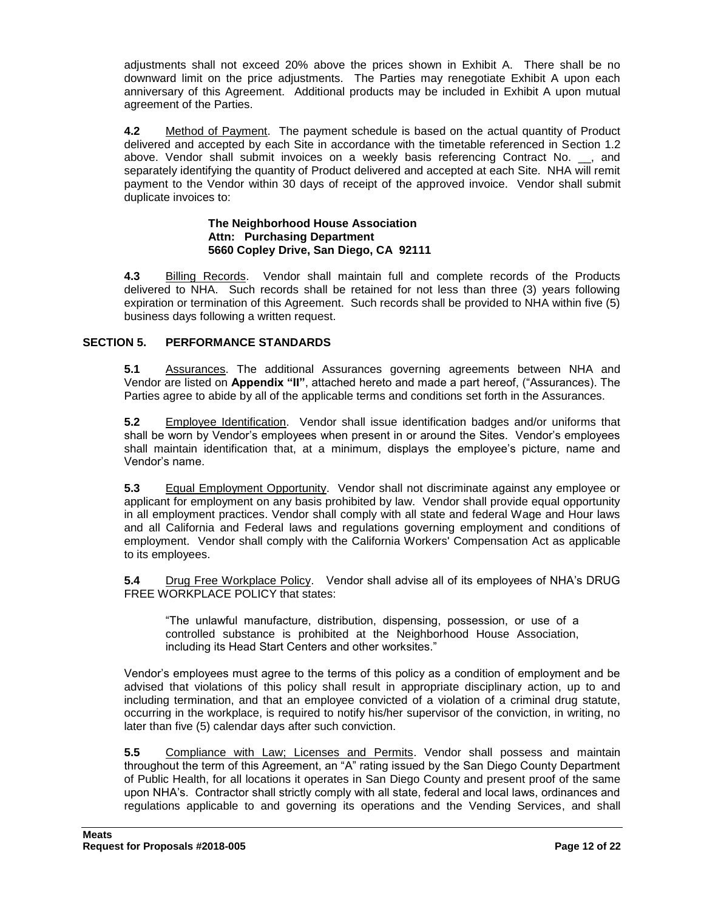adjustments shall not exceed 20% above the prices shown in Exhibit A. There shall be no downward limit on the price adjustments. The Parties may renegotiate Exhibit A upon each anniversary of this Agreement. Additional products may be included in Exhibit A upon mutual agreement of the Parties.

**4.2** Method of Payment. The payment schedule is based on the actual quantity of Product delivered and accepted by each Site in accordance with the timetable referenced in Section 1.2 above. Vendor shall submit invoices on a weekly basis referencing Contract No. . and separately identifying the quantity of Product delivered and accepted at each Site. NHA will remit payment to the Vendor within 30 days of receipt of the approved invoice. Vendor shall submit duplicate invoices to:

#### **The Neighborhood House Association Attn: Purchasing Department 5660 Copley Drive, San Diego, CA 92111**

**4.3** Billing Records. Vendor shall maintain full and complete records of the Products delivered to NHA. Such records shall be retained for not less than three (3) years following expiration or termination of this Agreement. Such records shall be provided to NHA within five (5) business days following a written request.

#### **SECTION 5. PERFORMANCE STANDARDS**

**5.1** Assurances. The additional Assurances governing agreements between NHA and Vendor are listed on **Appendix "II"**, attached hereto and made a part hereof, ("Assurances). The Parties agree to abide by all of the applicable terms and conditions set forth in the Assurances.

**5.2** Employee Identification. Vendor shall issue identification badges and/or uniforms that shall be worn by Vendor's employees when present in or around the Sites. Vendor's employees shall maintain identification that, at a minimum, displays the employee's picture, name and Vendor's name.

**5.3** Equal Employment Opportunity. Vendor shall not discriminate against any employee or applicant for employment on any basis prohibited by law. Vendor shall provide equal opportunity in all employment practices. Vendor shall comply with all state and federal Wage and Hour laws and all California and Federal laws and regulations governing employment and conditions of employment. Vendor shall comply with the California Workers' Compensation Act as applicable to its employees.

**5.4** Drug Free Workplace Policy. Vendor shall advise all of its employees of NHA's DRUG FREE WORKPLACE POLICY that states:

"The unlawful manufacture, distribution, dispensing, possession, or use of a controlled substance is prohibited at the Neighborhood House Association, including its Head Start Centers and other worksites."

Vendor's employees must agree to the terms of this policy as a condition of employment and be advised that violations of this policy shall result in appropriate disciplinary action, up to and including termination, and that an employee convicted of a violation of a criminal drug statute, occurring in the workplace, is required to notify his/her supervisor of the conviction, in writing, no later than five (5) calendar days after such conviction.

**5.5** Compliance with Law; Licenses and Permits. Vendor shall possess and maintain throughout the term of this Agreement, an "A" rating issued by the San Diego County Department of Public Health, for all locations it operates in San Diego County and present proof of the same upon NHA's. Contractor shall strictly comply with all state, federal and local laws, ordinances and regulations applicable to and governing its operations and the Vending Services, and shall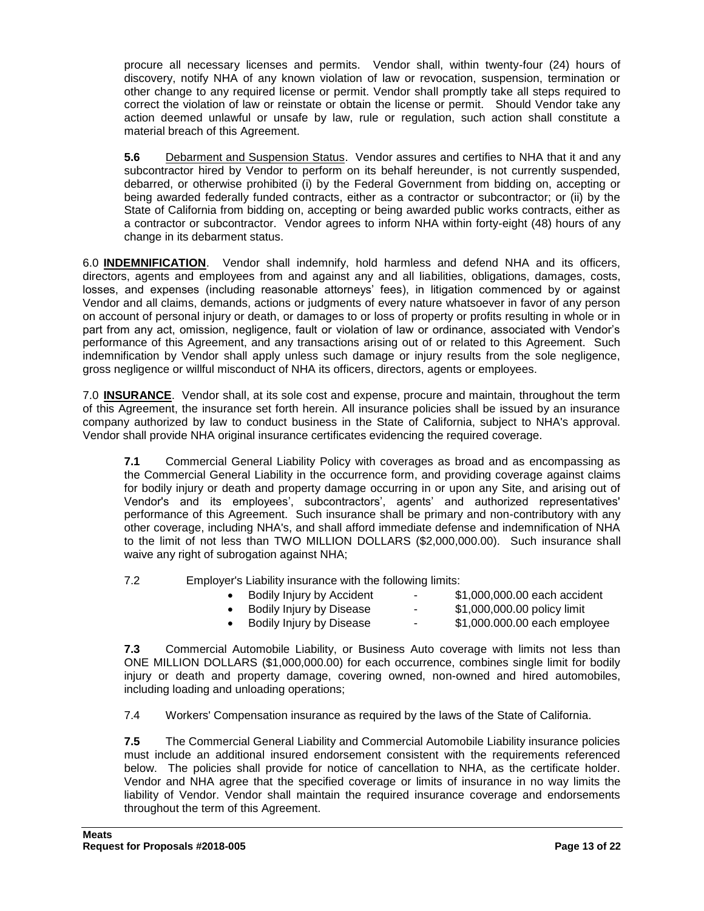procure all necessary licenses and permits. Vendor shall, within twenty-four (24) hours of discovery, notify NHA of any known violation of law or revocation, suspension, termination or other change to any required license or permit. Vendor shall promptly take all steps required to correct the violation of law or reinstate or obtain the license or permit. Should Vendor take any action deemed unlawful or unsafe by law, rule or regulation, such action shall constitute a material breach of this Agreement.

**5.6** Debarment and Suspension Status. Vendor assures and certifies to NHA that it and any subcontractor hired by Vendor to perform on its behalf hereunder, is not currently suspended, debarred, or otherwise prohibited (i) by the Federal Government from bidding on, accepting or being awarded federally funded contracts, either as a contractor or subcontractor; or (ii) by the State of California from bidding on, accepting or being awarded public works contracts, either as a contractor or subcontractor. Vendor agrees to inform NHA within forty-eight (48) hours of any change in its debarment status.

6.0 **INDEMNIFICATION**. Vendor shall indemnify, hold harmless and defend NHA and its officers, directors, agents and employees from and against any and all liabilities, obligations, damages, costs, losses, and expenses (including reasonable attorneys' fees), in litigation commenced by or against Vendor and all claims, demands, actions or judgments of every nature whatsoever in favor of any person on account of personal injury or death, or damages to or loss of property or profits resulting in whole or in part from any act, omission, negligence, fault or violation of law or ordinance, associated with Vendor's performance of this Agreement, and any transactions arising out of or related to this Agreement. Such indemnification by Vendor shall apply unless such damage or injury results from the sole negligence, gross negligence or willful misconduct of NHA its officers, directors, agents or employees.

7.0 **INSURANCE**. Vendor shall, at its sole cost and expense, procure and maintain, throughout the term of this Agreement, the insurance set forth herein. All insurance policies shall be issued by an insurance company authorized by law to conduct business in the State of California, subject to NHA's approval. Vendor shall provide NHA original insurance certificates evidencing the required coverage.

**7.1** Commercial General Liability Policy with coverages as broad and as encompassing as the Commercial General Liability in the occurrence form, and providing coverage against claims for bodily injury or death and property damage occurring in or upon any Site, and arising out of Vendor's and its employees', subcontractors', agents' and authorized representatives' performance of this Agreement. Such insurance shall be primary and non-contributory with any other coverage, including NHA's, and shall afford immediate defense and indemnification of NHA to the limit of not less than TWO MILLION DOLLARS (\$2,000,000.00). Such insurance shall waive any right of subrogation against NHA;

7.2 Employer's Liability insurance with the following limits:

| Bodily Injury by Accident | ٠  | \$1,000,000.00 each accident |
|---------------------------|----|------------------------------|
| Bodily Injury by Disease  | ٠. | \$1,000,000.00 policy limit  |
| Bodily Injury by Disease  | ۰  | \$1,000.000.00 each employee |
|                           |    |                              |

**7.3** Commercial Automobile Liability, or Business Auto coverage with limits not less than ONE MILLION DOLLARS (\$1,000,000.00) for each occurrence, combines single limit for bodily injury or death and property damage, covering owned, non-owned and hired automobiles, including loading and unloading operations;

7.4 Workers' Compensation insurance as required by the laws of the State of California.

**7.5** The Commercial General Liability and Commercial Automobile Liability insurance policies must include an additional insured endorsement consistent with the requirements referenced below. The policies shall provide for notice of cancellation to NHA, as the certificate holder. Vendor and NHA agree that the specified coverage or limits of insurance in no way limits the liability of Vendor. Vendor shall maintain the required insurance coverage and endorsements throughout the term of this Agreement.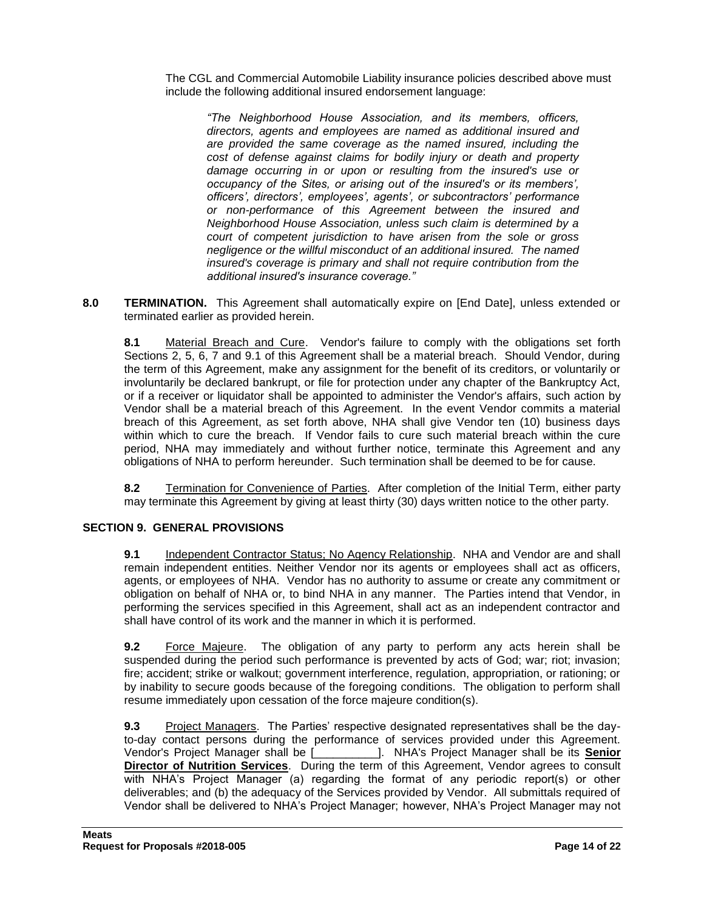The CGL and Commercial Automobile Liability insurance policies described above must include the following additional insured endorsement language:

*"The Neighborhood House Association, and its members, officers, directors, agents and employees are named as additional insured and are provided the same coverage as the named insured, including the cost of defense against claims for bodily injury or death and property damage occurring in or upon or resulting from the insured's use or occupancy of the Sites, or arising out of the insured's or its members', officers', directors', employees', agents', or subcontractors' performance or non-performance of this Agreement between the insured and Neighborhood House Association, unless such claim is determined by a court of competent jurisdiction to have arisen from the sole or gross negligence or the willful misconduct of an additional insured. The named insured's coverage is primary and shall not require contribution from the additional insured's insurance coverage."*

**8.0 TERMINATION.** This Agreement shall automatically expire on [End Date], unless extended or terminated earlier as provided herein.

**8.1** Material Breach and Cure. Vendor's failure to comply with the obligations set forth Sections 2, 5, 6, 7 and 9.1 of this Agreement shall be a material breach. Should Vendor, during the term of this Agreement, make any assignment for the benefit of its creditors, or voluntarily or involuntarily be declared bankrupt, or file for protection under any chapter of the Bankruptcy Act, or if a receiver or liquidator shall be appointed to administer the Vendor's affairs, such action by Vendor shall be a material breach of this Agreement. In the event Vendor commits a material breach of this Agreement, as set forth above, NHA shall give Vendor ten (10) business days within which to cure the breach. If Vendor fails to cure such material breach within the cure period, NHA may immediately and without further notice, terminate this Agreement and any obligations of NHA to perform hereunder. Such termination shall be deemed to be for cause.

**8.2** Termination for Convenience of Parties. After completion of the Initial Term, either party may terminate this Agreement by giving at least thirty (30) days written notice to the other party.

#### **SECTION 9. GENERAL PROVISIONS**

**9.1** Independent Contractor Status; No Agency Relationship. NHA and Vendor are and shall remain independent entities. Neither Vendor nor its agents or employees shall act as officers, agents, or employees of NHA. Vendor has no authority to assume or create any commitment or obligation on behalf of NHA or, to bind NHA in any manner. The Parties intend that Vendor, in performing the services specified in this Agreement, shall act as an independent contractor and shall have control of its work and the manner in which it is performed.

**9.2** Force Majeure. The obligation of any party to perform any acts herein shall be suspended during the period such performance is prevented by acts of God; war; riot; invasion; fire; accident; strike or walkout; government interference, regulation, appropriation, or rationing; or by inability to secure goods because of the foregoing conditions. The obligation to perform shall resume immediately upon cessation of the force majeure condition(s).

**9.3** Project Managers. The Parties' respective designated representatives shall be the dayto-day contact persons during the performance of services provided under this Agreement. Vendor's Project Manager shall be [\_\_\_\_\_\_\_\_\_\_]. NHA's Project Manager shall be its **Senior Director of Nutrition Services**. During the term of this Agreement, Vendor agrees to consult with NHA's Project Manager (a) regarding the format of any periodic report(s) or other deliverables; and (b) the adequacy of the Services provided by Vendor. All submittals required of Vendor shall be delivered to NHA's Project Manager; however, NHA's Project Manager may not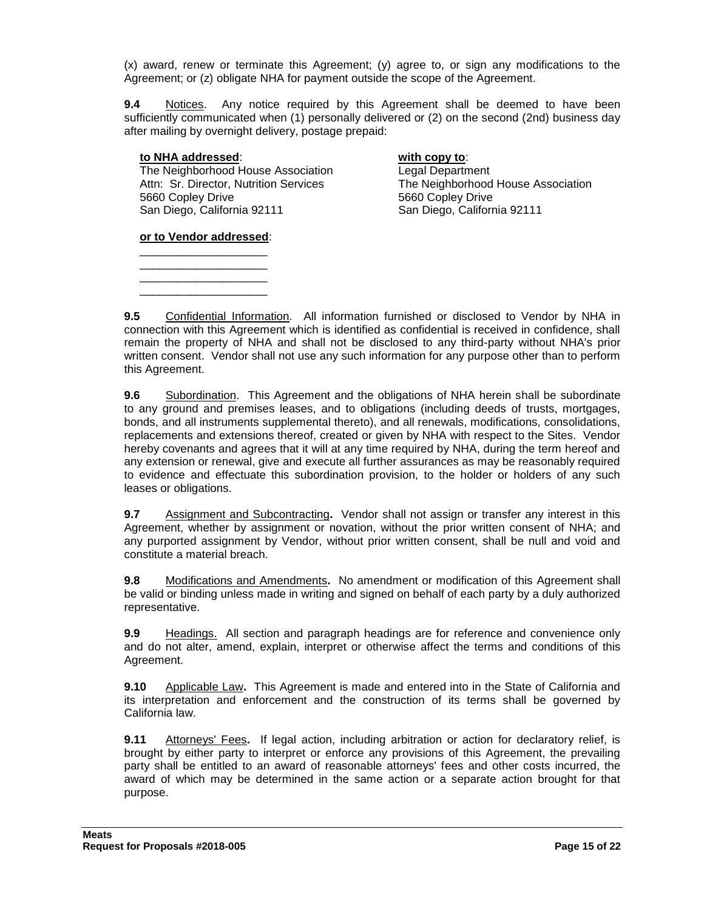(x) award, renew or terminate this Agreement; (y) agree to, or sign any modifications to the Agreement; or (z) obligate NHA for payment outside the scope of the Agreement.

**9.4** Notices. Any notice required by this Agreement shall be deemed to have been sufficiently communicated when (1) personally delivered or (2) on the second (2nd) business day after mailing by overnight delivery, postage prepaid:

#### **to NHA addressed**: **with copy to**:

The Neighborhood House Association<br>
Attn: Sr. Director, Nutrition Services<br>
The Neighborhood 5660 Copley Drive 5660 Copley Drive San Diego, California 92111 San Diego, California 92111

The Neighborhood House Association

**or to Vendor addressed**: \_\_\_\_\_\_\_\_\_\_\_\_\_\_\_\_\_\_\_\_

\_\_\_\_\_\_\_\_\_\_\_\_\_\_\_\_\_\_\_\_ \_\_\_\_\_\_\_\_\_\_\_\_\_\_\_\_\_\_\_\_ \_\_\_\_\_\_\_\_\_\_\_\_\_\_\_\_\_\_\_\_

**9.5** Confidential Information. All information furnished or disclosed to Vendor by NHA in connection with this Agreement which is identified as confidential is received in confidence, shall remain the property of NHA and shall not be disclosed to any third-party without NHA's prior written consent. Vendor shall not use any such information for any purpose other than to perform this Agreement.

**9.6** Subordination. This Agreement and the obligations of NHA herein shall be subordinate to any ground and premises leases, and to obligations (including deeds of trusts, mortgages, bonds, and all instruments supplemental thereto), and all renewals, modifications, consolidations, replacements and extensions thereof, created or given by NHA with respect to the Sites. Vendor hereby covenants and agrees that it will at any time required by NHA, during the term hereof and any extension or renewal, give and execute all further assurances as may be reasonably required to evidence and effectuate this subordination provision, to the holder or holders of any such leases or obligations.

**9.7** Assignment and Subcontracting**.** Vendor shall not assign or transfer any interest in this Agreement, whether by assignment or novation, without the prior written consent of NHA; and any purported assignment by Vendor, without prior written consent, shall be null and void and constitute a material breach.

**9.8** Modifications and Amendments**.** No amendment or modification of this Agreement shall be valid or binding unless made in writing and signed on behalf of each party by a duly authorized representative.

**9.9** Headings. All section and paragraph headings are for reference and convenience only and do not alter, amend, explain, interpret or otherwise affect the terms and conditions of this Agreement.

**9.10** Applicable Law**.** This Agreement is made and entered into in the State of California and its interpretation and enforcement and the construction of its terms shall be governed by California law.

**9.11** Attorneys' Fees**.** If legal action, including arbitration or action for declaratory relief, is brought by either party to interpret or enforce any provisions of this Agreement, the prevailing party shall be entitled to an award of reasonable attorneys' fees and other costs incurred, the award of which may be determined in the same action or a separate action brought for that purpose.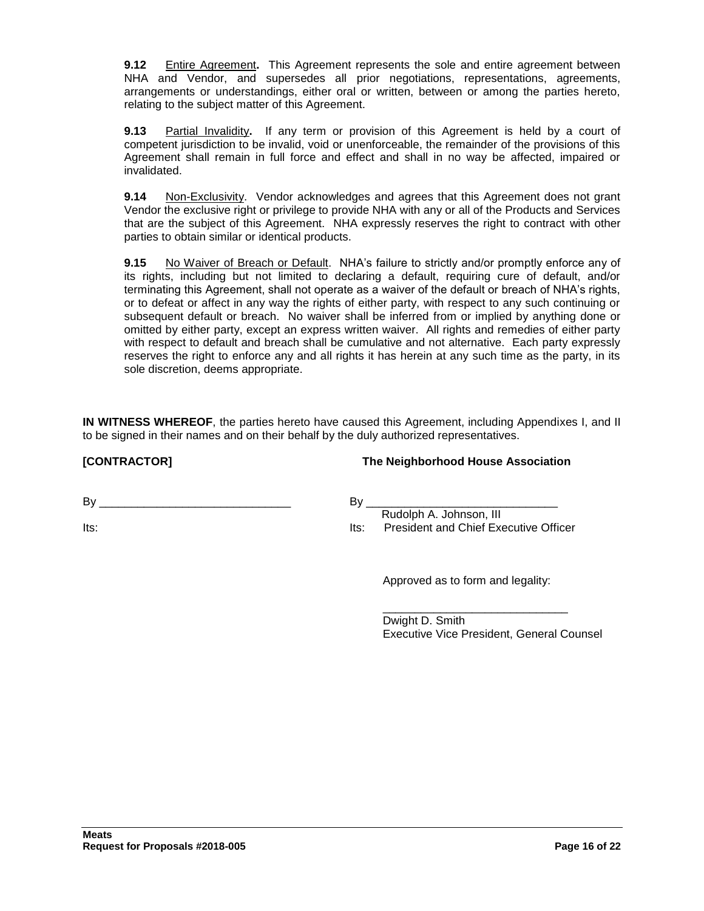**9.12** Entire Agreement**.** This Agreement represents the sole and entire agreement between NHA and Vendor, and supersedes all prior negotiations, representations, agreements, arrangements or understandings, either oral or written, between or among the parties hereto, relating to the subject matter of this Agreement.

**9.13** Partial Invalidity**.** If any term or provision of this Agreement is held by a court of competent jurisdiction to be invalid, void or unenforceable, the remainder of the provisions of this Agreement shall remain in full force and effect and shall in no way be affected, impaired or invalidated.

**9.14** Non-Exclusivity. Vendor acknowledges and agrees that this Agreement does not grant Vendor the exclusive right or privilege to provide NHA with any or all of the Products and Services that are the subject of this Agreement. NHA expressly reserves the right to contract with other parties to obtain similar or identical products.

**9.15** No Waiver of Breach or Default. NHA's failure to strictly and/or promptly enforce any of its rights, including but not limited to declaring a default, requiring cure of default, and/or terminating this Agreement, shall not operate as a waiver of the default or breach of NHA's rights, or to defeat or affect in any way the rights of either party, with respect to any such continuing or subsequent default or breach. No waiver shall be inferred from or implied by anything done or omitted by either party, except an express written waiver. All rights and remedies of either party with respect to default and breach shall be cumulative and not alternative. Each party expressly reserves the right to enforce any and all rights it has herein at any such time as the party, in its sole discretion, deems appropriate.

**IN WITNESS WHEREOF**, the parties hereto have caused this Agreement, including Appendixes I, and II to be signed in their names and on their behalf by the duly authorized representatives.

**[CONTRACTOR] The Neighborhood House Association**

 $\mathsf{By}$ 

Its:

#### By \_\_\_\_\_\_\_\_\_\_\_\_\_\_\_\_\_\_\_\_\_\_\_\_\_\_\_\_\_\_

 Rudolph A. Johnson, III Its: President and Chief Executive Officer

Approved as to form and legality:

\_\_\_\_\_\_\_\_\_\_\_\_\_\_\_\_\_\_\_\_\_\_\_\_\_\_\_\_\_ Dwight D. Smith Executive Vice President, General Counsel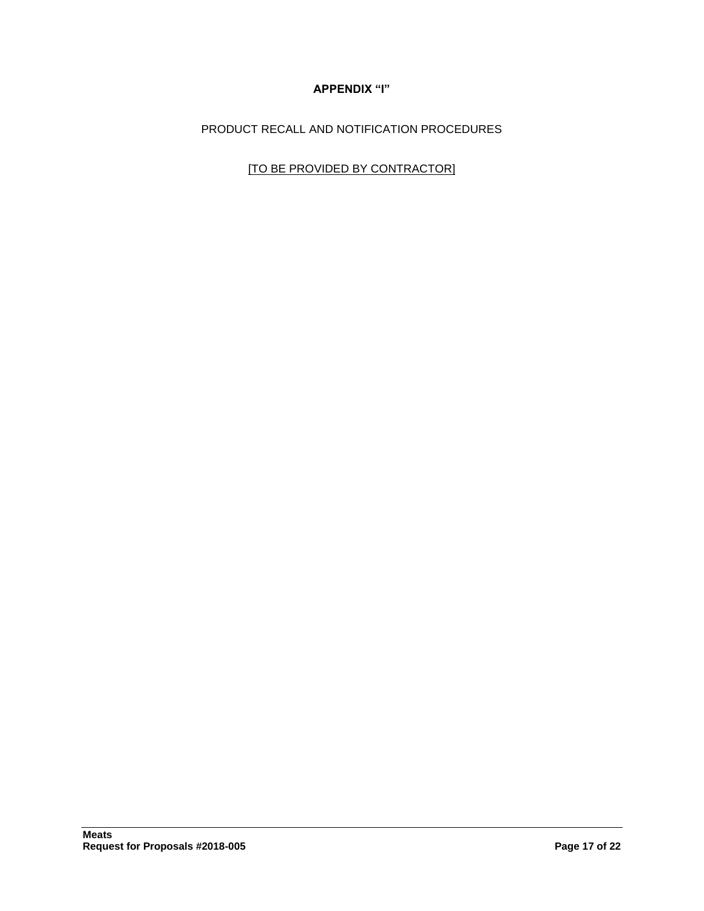## **APPENDIX "I"**

PRODUCT RECALL AND NOTIFICATION PROCEDURES

[TO BE PROVIDED BY CONTRACTOR]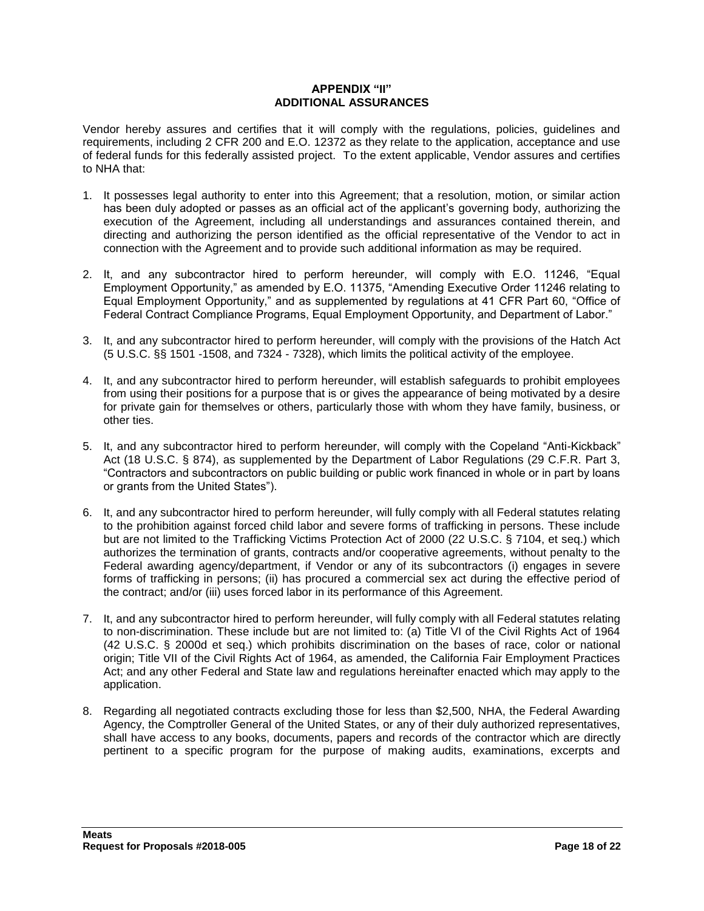#### **APPENDIX "II" ADDITIONAL ASSURANCES**

Vendor hereby assures and certifies that it will comply with the regulations, policies, guidelines and requirements, including 2 CFR 200 and E.O. 12372 as they relate to the application, acceptance and use of federal funds for this federally assisted project. To the extent applicable, Vendor assures and certifies to NHA that:

- 1. It possesses legal authority to enter into this Agreement; that a resolution, motion, or similar action has been duly adopted or passes as an official act of the applicant's governing body, authorizing the execution of the Agreement, including all understandings and assurances contained therein, and directing and authorizing the person identified as the official representative of the Vendor to act in connection with the Agreement and to provide such additional information as may be required.
- 2. It, and any subcontractor hired to perform hereunder, will comply with E.O. 11246, "Equal Employment Opportunity," as amended by E.O. 11375, "Amending Executive Order 11246 relating to Equal Employment Opportunity," and as supplemented by regulations at 41 CFR Part 60, "Office of Federal Contract Compliance Programs, Equal Employment Opportunity, and Department of Labor."
- 3. It, and any subcontractor hired to perform hereunder, will comply with the provisions of the Hatch Act (5 U.S.C. §§ 1501 -1508, and 7324 - 7328), which limits the political activity of the employee.
- 4. It, and any subcontractor hired to perform hereunder, will establish safeguards to prohibit employees from using their positions for a purpose that is or gives the appearance of being motivated by a desire for private gain for themselves or others, particularly those with whom they have family, business, or other ties.
- 5. It, and any subcontractor hired to perform hereunder, will comply with the Copeland "Anti-Kickback" Act (18 U.S.C. § 874), as supplemented by the Department of Labor Regulations (29 C.F.R. Part 3, "Contractors and subcontractors on public building or public work financed in whole or in part by loans or grants from the United States").
- 6. It, and any subcontractor hired to perform hereunder, will fully comply with all Federal statutes relating to the prohibition against forced child labor and severe forms of trafficking in persons. These include but are not limited to the Trafficking Victims Protection Act of 2000 (22 U.S.C. § 7104, et seq.) which authorizes the termination of grants, contracts and/or cooperative agreements, without penalty to the Federal awarding agency/department, if Vendor or any of its subcontractors (i) engages in severe forms of trafficking in persons; (ii) has procured a commercial sex act during the effective period of the contract; and/or (iii) uses forced labor in its performance of this Agreement.
- 7. It, and any subcontractor hired to perform hereunder, will fully comply with all Federal statutes relating to non-discrimination. These include but are not limited to: (a) Title VI of the Civil Rights Act of 1964 (42 U.S.C. § 2000d et seq.) which prohibits discrimination on the bases of race, color or national origin; Title VII of the Civil Rights Act of 1964, as amended, the California Fair Employment Practices Act; and any other Federal and State law and regulations hereinafter enacted which may apply to the application.
- 8. Regarding all negotiated contracts excluding those for less than \$2,500, NHA, the Federal Awarding Agency, the Comptroller General of the United States, or any of their duly authorized representatives, shall have access to any books, documents, papers and records of the contractor which are directly pertinent to a specific program for the purpose of making audits, examinations, excerpts and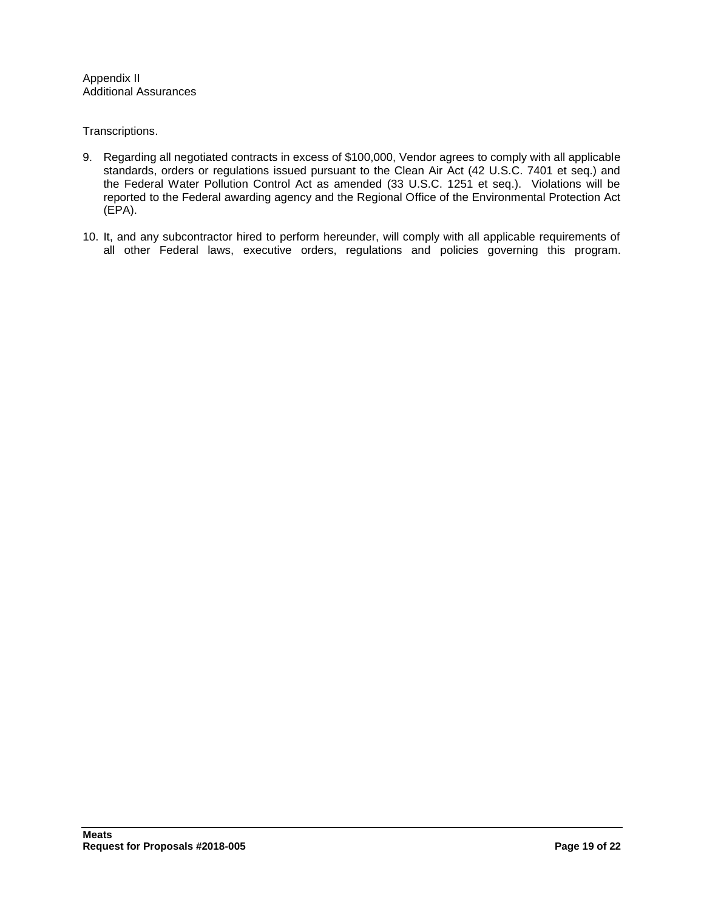Appendix II Additional Assurances

Transcriptions.

- 9. Regarding all negotiated contracts in excess of \$100,000, Vendor agrees to comply with all applicable standards, orders or regulations issued pursuant to the Clean Air Act (42 U.S.C. 7401 et seq.) and the Federal Water Pollution Control Act as amended (33 U.S.C. 1251 et seq.). Violations will be reported to the Federal awarding agency and the Regional Office of the Environmental Protection Act (EPA).
- 10. It, and any subcontractor hired to perform hereunder, will comply with all applicable requirements of all other Federal laws, executive orders, regulations and policies governing this program.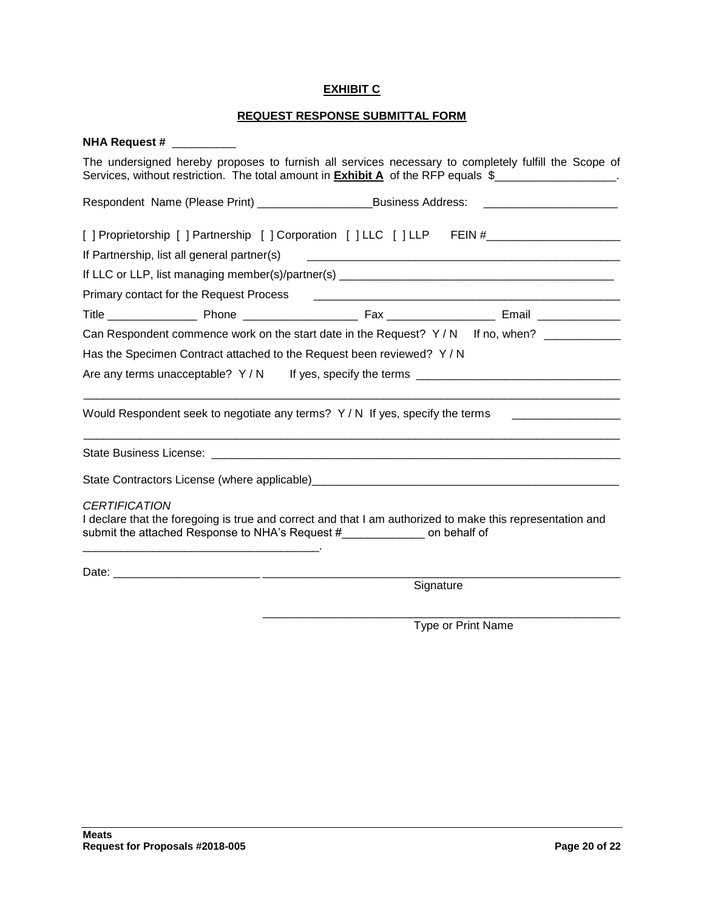#### **EXHIBIT C**

# **REQUEST RESPONSE SUBMITTAL FORM**

| <b>NHA Request #</b>                                                                                                                                                                                                                                   |  |  |  |  |
|--------------------------------------------------------------------------------------------------------------------------------------------------------------------------------------------------------------------------------------------------------|--|--|--|--|
| The undersigned hereby proposes to furnish all services necessary to completely fulfill the Scope of<br>Services, without restriction. The total amount in <b>Exhibit A</b> of the RFP equals \$                                                       |  |  |  |  |
| Respondent Name (Please Print) ________________________Business Address:<br><u> 1980 - Jan Samuel Barbara, martin d</u>                                                                                                                                |  |  |  |  |
| [ ] Proprietorship [ ] Partnership [ ] Corporation [ ] LLC [ ] LLP FEIN #__________________________                                                                                                                                                    |  |  |  |  |
| If Partnership, list all general partner(s)                                                                                                                                                                                                            |  |  |  |  |
|                                                                                                                                                                                                                                                        |  |  |  |  |
| Primary contact for the Request Process [1986] [2012] [2012] [2012] [2012] [2012] [2012] [2012] [2012] [2012] [                                                                                                                                        |  |  |  |  |
|                                                                                                                                                                                                                                                        |  |  |  |  |
| Can Respondent commence work on the start date in the Request? Y/N If no, when?                                                                                                                                                                        |  |  |  |  |
| Has the Specimen Contract attached to the Request been reviewed? Y / N<br>Are any terms unacceptable? $Y/N$ If yes, specify the terms                                                                                                                  |  |  |  |  |
|                                                                                                                                                                                                                                                        |  |  |  |  |
|                                                                                                                                                                                                                                                        |  |  |  |  |
|                                                                                                                                                                                                                                                        |  |  |  |  |
| <b>CERTIFICATION</b>                                                                                                                                                                                                                                   |  |  |  |  |
| I declare that the foregoing is true and correct and that I am authorized to make this representation and<br>submit the attached Response to NHA's Request #_______________ on behalf of<br><u> 1989 - Johann Barn, amerikansk politiker (d. 1989)</u> |  |  |  |  |
|                                                                                                                                                                                                                                                        |  |  |  |  |
| Signature                                                                                                                                                                                                                                              |  |  |  |  |

Type or Print Name

\_\_\_\_\_\_\_\_\_\_\_\_\_\_\_\_\_\_\_\_\_\_\_\_\_\_\_\_\_\_\_\_\_\_\_\_\_\_\_\_\_\_\_\_\_\_\_\_\_\_\_\_\_\_\_\_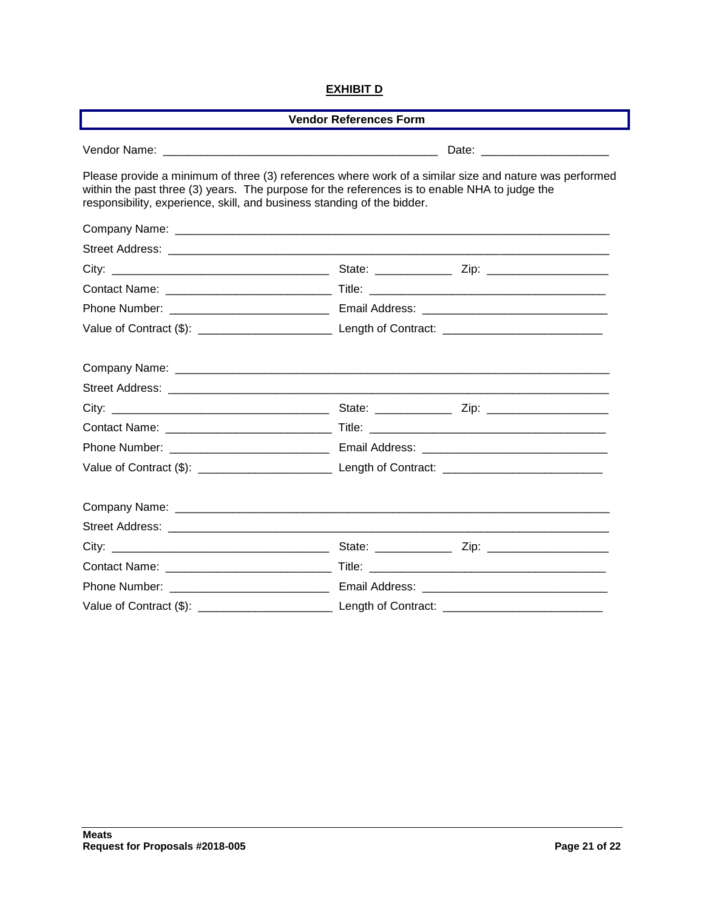#### **EXHIBIT D**

| <b>Vendor References Form</b>                                                                                                                                            |                                                                                                        |  |  |  |
|--------------------------------------------------------------------------------------------------------------------------------------------------------------------------|--------------------------------------------------------------------------------------------------------|--|--|--|
|                                                                                                                                                                          |                                                                                                        |  |  |  |
| within the past three (3) years. The purpose for the references is to enable NHA to judge the<br>responsibility, experience, skill, and business standing of the bidder. | Please provide a minimum of three (3) references where work of a similar size and nature was performed |  |  |  |
|                                                                                                                                                                          |                                                                                                        |  |  |  |
|                                                                                                                                                                          |                                                                                                        |  |  |  |
|                                                                                                                                                                          |                                                                                                        |  |  |  |
|                                                                                                                                                                          |                                                                                                        |  |  |  |
|                                                                                                                                                                          |                                                                                                        |  |  |  |
|                                                                                                                                                                          |                                                                                                        |  |  |  |
|                                                                                                                                                                          |                                                                                                        |  |  |  |
|                                                                                                                                                                          |                                                                                                        |  |  |  |
|                                                                                                                                                                          |                                                                                                        |  |  |  |
|                                                                                                                                                                          |                                                                                                        |  |  |  |
|                                                                                                                                                                          |                                                                                                        |  |  |  |
|                                                                                                                                                                          |                                                                                                        |  |  |  |
|                                                                                                                                                                          |                                                                                                        |  |  |  |
|                                                                                                                                                                          |                                                                                                        |  |  |  |
|                                                                                                                                                                          |                                                                                                        |  |  |  |
|                                                                                                                                                                          |                                                                                                        |  |  |  |
|                                                                                                                                                                          |                                                                                                        |  |  |  |
|                                                                                                                                                                          |                                                                                                        |  |  |  |